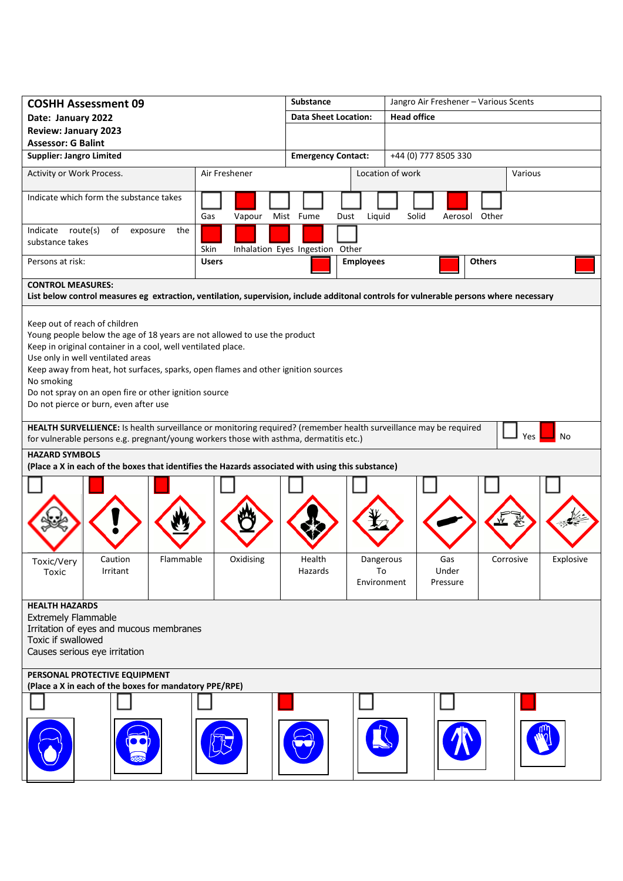| Date: January 2022<br><b>Review: January 2023</b><br><b>Assessor: G Balint</b><br><b>Supplier: Jangro Limited</b><br>Activity or Work Process.<br>Indicate which form the substance takes<br>Indicate route(s)<br>of<br>exposure<br>the<br>substance takes<br>Persons at risk:<br><b>CONTROL MEASURES:</b>                                                                                                                                                                                                                                                                                                                                                                                                                                                        | Air Freshener<br>Gas<br>Vapour | <b>Data Sheet Location:</b><br><b>Emergency Contact:</b><br>Liquid<br>Mist Fume<br>Dust | <b>Head office</b><br>+44 (0) 777 8505 330<br>Location of work | Various                |  |  |
|-------------------------------------------------------------------------------------------------------------------------------------------------------------------------------------------------------------------------------------------------------------------------------------------------------------------------------------------------------------------------------------------------------------------------------------------------------------------------------------------------------------------------------------------------------------------------------------------------------------------------------------------------------------------------------------------------------------------------------------------------------------------|--------------------------------|-----------------------------------------------------------------------------------------|----------------------------------------------------------------|------------------------|--|--|
|                                                                                                                                                                                                                                                                                                                                                                                                                                                                                                                                                                                                                                                                                                                                                                   |                                |                                                                                         |                                                                |                        |  |  |
|                                                                                                                                                                                                                                                                                                                                                                                                                                                                                                                                                                                                                                                                                                                                                                   |                                |                                                                                         |                                                                |                        |  |  |
|                                                                                                                                                                                                                                                                                                                                                                                                                                                                                                                                                                                                                                                                                                                                                                   |                                |                                                                                         |                                                                |                        |  |  |
|                                                                                                                                                                                                                                                                                                                                                                                                                                                                                                                                                                                                                                                                                                                                                                   |                                |                                                                                         |                                                                |                        |  |  |
|                                                                                                                                                                                                                                                                                                                                                                                                                                                                                                                                                                                                                                                                                                                                                                   |                                |                                                                                         |                                                                |                        |  |  |
|                                                                                                                                                                                                                                                                                                                                                                                                                                                                                                                                                                                                                                                                                                                                                                   |                                |                                                                                         | Solid<br>Aerosol Other                                         |                        |  |  |
|                                                                                                                                                                                                                                                                                                                                                                                                                                                                                                                                                                                                                                                                                                                                                                   | Skin                           | Inhalation Eyes Ingestion Other                                                         |                                                                |                        |  |  |
|                                                                                                                                                                                                                                                                                                                                                                                                                                                                                                                                                                                                                                                                                                                                                                   | <b>Users</b>                   | <b>Employees</b>                                                                        | <b>Others</b>                                                  |                        |  |  |
|                                                                                                                                                                                                                                                                                                                                                                                                                                                                                                                                                                                                                                                                                                                                                                   |                                |                                                                                         |                                                                |                        |  |  |
| List below control measures eg extraction, ventilation, supervision, include additonal controls for vulnerable persons where necessary                                                                                                                                                                                                                                                                                                                                                                                                                                                                                                                                                                                                                            |                                |                                                                                         |                                                                |                        |  |  |
| Keep out of reach of children<br>Young people below the age of 18 years are not allowed to use the product<br>Keep in original container in a cool, well ventilated place.<br>Use only in well ventilated areas<br>Keep away from heat, hot surfaces, sparks, open flames and other ignition sources<br>No smoking<br>Do not spray on an open fire or other ignition source<br>Do not pierce or burn, even after use<br>HEALTH SURVELLIENCE: Is health surveillance or monitoring required? (remember health surveillance may be required<br>for vulnerable persons e.g. pregnant/young workers those with asthma, dermatitis etc.)<br><b>HAZARD SYMBOLS</b><br>(Place a X in each of the boxes that identifies the Hazards associated with using this substance) |                                |                                                                                         |                                                                | Yes<br>No              |  |  |
| Flammable<br>Caution<br>Toxic/Very<br>Irritant<br>Toxic                                                                                                                                                                                                                                                                                                                                                                                                                                                                                                                                                                                                                                                                                                           | Oxidising                      | Health<br>Hazards                                                                       | Gas<br>Dangerous<br>To<br>Under<br>Environment<br>Pressure     | Corrosive<br>Explosive |  |  |
| <b>HEALTH HAZARDS</b><br><b>Extremely Flammable</b><br>Irritation of eyes and mucous membranes<br>Toxic if swallowed<br>Causes serious eye irritation<br>PERSONAL PROTECTIVE EQUIPMENT<br>(Place a X in each of the boxes for mandatory PPE/RPE)                                                                                                                                                                                                                                                                                                                                                                                                                                                                                                                  |                                |                                                                                         |                                                                |                        |  |  |